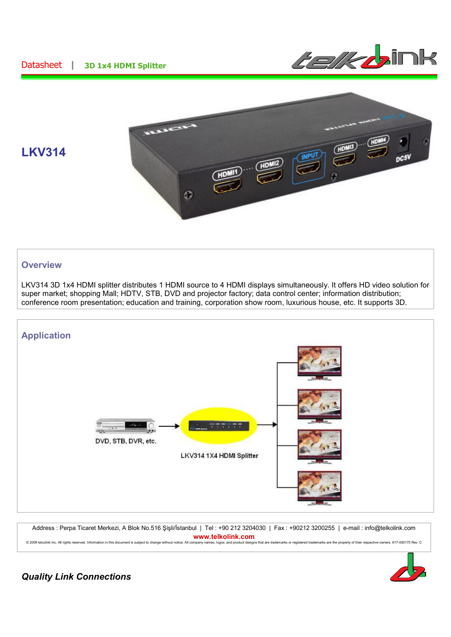## Datasheet **| 3D 1x4 HDMI Splitter**





# **LKV314**

### **Overview**

LKV314 3D 1x4 HDMI splitter distributes 1 HDMI source to 4 HDMI displays simultaneously. It offers HD video solution for super market; shopping Mall; HDTV, STB, DVD and projector factory; data control center; information distribution; conference room presentation; education and training, corporation show room, luxurious house, etc. It supports 3D.



Address : Perpa Ticaret Merkezi, A Blok No.516 Şişli/İstanbul | Tel : +90 212 3204030 | Fax : +90212 3200255 | e-mail : info@telkolink.com **www.telkolink.com** © 2009 telcolink Inc. All rights reserved. Information in this document is subject to change without notice. All company names, logos, and product designs that are trademarks or registered trademarks are the property of th



## *Quality Link Connections*